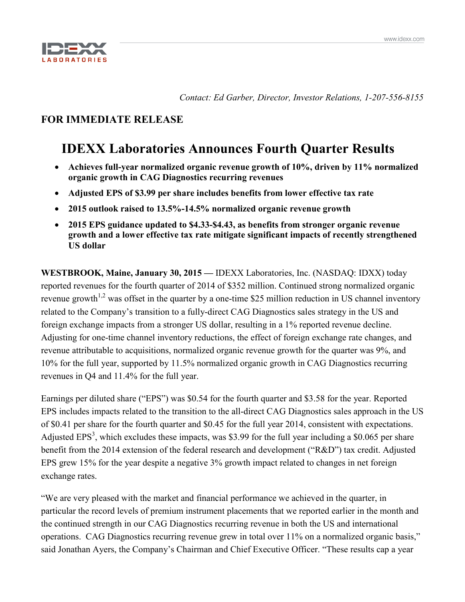

*Contact: Ed Garber, Director, Investor Relations, 1-207-556-8155*

# **FOR IMMEDIATE RELEASE**

# **IDEXX Laboratories Announces Fourth Quarter Results**

- **Achieves full-year normalized organic revenue growth of 10%, driven by 11% normalized organic growth in CAG Diagnostics recurring revenues**
- **Adjusted EPS of \$3.99 per share includes benefits from lower effective tax rate**
- **2015 outlook raised to 13.5%-14.5% normalized organic revenue growth**
- **2015 EPS guidance updated to \$4.33-\$4.43, as benefits from stronger organic revenue growth and a lower effective tax rate mitigate significant impacts of recently strengthened US dollar**

**WESTBROOK, Maine, January 30, 2015 —** IDEXX Laboratories, Inc. (NASDAQ: IDXX) today reported revenues for the fourth quarter of 2014 of \$352 million. Continued strong normalized organic revenue growth<sup> $1,2$ </sup> was offset in the quarter by a one-time \$25 million reduction in US channel inventory related to the Company's transition to a fully-direct CAG Diagnostics sales strategy in the US and foreign exchange impacts from a stronger US dollar, resulting in a 1% reported revenue decline. Adjusting for one-time channel inventory reductions, the effect of foreign exchange rate changes, and revenue attributable to acquisitions, normalized organic revenue growth for the quarter was 9%, and 10% for the full year, supported by 11.5% normalized organic growth in CAG Diagnostics recurring revenues in Q4 and 11.4% for the full year.

Earnings per diluted share ("EPS") was \$0.54 for the fourth quarter and \$3.58 for the year. Reported EPS includes impacts related to the transition to the all-direct CAG Diagnostics sales approach in the US of \$0.41 per share for the fourth quarter and \$0.45 for the full year 2014, consistent with expectations. Adjusted EPS<sup>3</sup>, which excludes these impacts, was \$3.99 for the full year including a \$0.065 per share benefit from the 2014 extension of the federal research and development ("R&D") tax credit. Adjusted EPS grew 15% for the year despite a negative 3% growth impact related to changes in net foreign exchange rates.

"We are very pleased with the market and financial performance we achieved in the quarter, in particular the record levels of premium instrument placements that we reported earlier in the month and the continued strength in our CAG Diagnostics recurring revenue in both the US and international operations. CAG Diagnostics recurring revenue grew in total over 11% on a normalized organic basis," said Jonathan Ayers, the Company's Chairman and Chief Executive Officer. "These results cap a year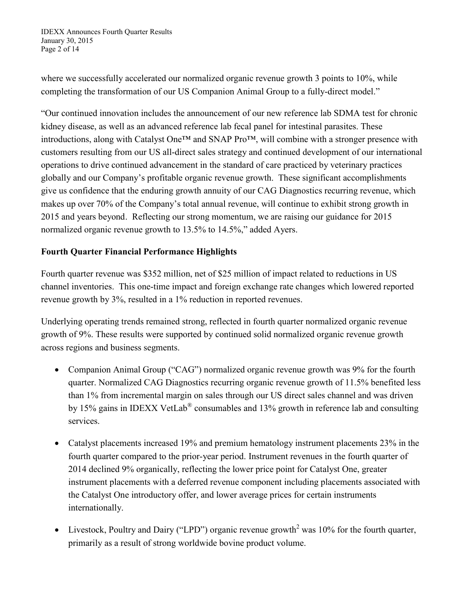IDEXX Announces Fourth Quarter Results January 30, 2015 Page 2 of 14

where we successfully accelerated our normalized organic revenue growth 3 points to 10%, while completing the transformation of our US Companion Animal Group to a fully-direct model."

"Our continued innovation includes the announcement of our new reference lab SDMA test for chronic kidney disease, as well as an advanced reference lab fecal panel for intestinal parasites. These introductions, along with Catalyst One™ and SNAP Pro™, will combine with a stronger presence with customers resulting from our US all-direct sales strategy and continued development of our international operations to drive continued advancement in the standard of care practiced by veterinary practices globally and our Company's profitable organic revenue growth. These significant accomplishments give us confidence that the enduring growth annuity of our CAG Diagnostics recurring revenue, which makes up over 70% of the Company's total annual revenue, will continue to exhibit strong growth in 2015 and years beyond. Reflecting our strong momentum, we are raising our guidance for 2015 normalized organic revenue growth to 13.5% to 14.5%," added Ayers.

## **Fourth Quarter Financial Performance Highlights**

Fourth quarter revenue was \$352 million, net of \$25 million of impact related to reductions in US channel inventories. This one-time impact and foreign exchange rate changes which lowered reported revenue growth by 3%, resulted in a 1% reduction in reported revenues.

Underlying operating trends remained strong, reflected in fourth quarter normalized organic revenue growth of 9%. These results were supported by continued solid normalized organic revenue growth across regions and business segments.

- Companion Animal Group ("CAG") normalized organic revenue growth was 9% for the fourth quarter. Normalized CAG Diagnostics recurring organic revenue growth of 11.5% benefited less than 1% from incremental margin on sales through our US direct sales channel and was driven by 15% gains in IDEXX VetLab® consumables and 13% growth in reference lab and consulting services.
- Catalyst placements increased 19% and premium hematology instrument placements 23% in the fourth quarter compared to the prior-year period. Instrument revenues in the fourth quarter of 2014 declined 9% organically, reflecting the lower price point for Catalyst One, greater instrument placements with a deferred revenue component including placements associated with the Catalyst One introductory offer, and lower average prices for certain instruments internationally.
- Livestock, Poultry and Dairy ("LPD") organic revenue growth<sup>2</sup> was 10% for the fourth quarter, primarily as a result of strong worldwide bovine product volume.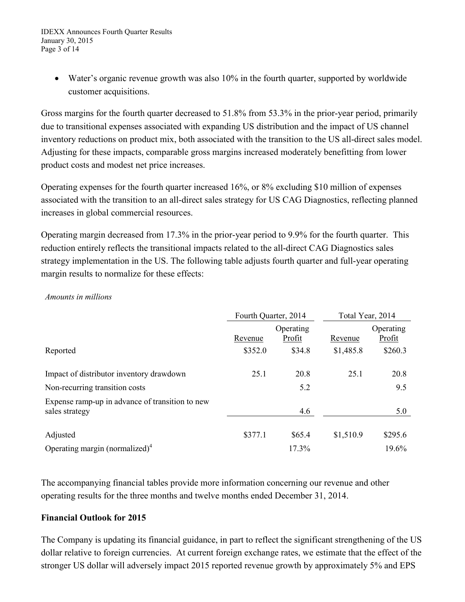• Water's organic revenue growth was also 10% in the fourth quarter, supported by worldwide customer acquisitions.

Gross margins for the fourth quarter decreased to 51.8% from 53.3% in the prior-year period, primarily due to transitional expenses associated with expanding US distribution and the impact of US channel inventory reductions on product mix, both associated with the transition to the US all-direct sales model. Adjusting for these impacts, comparable gross margins increased moderately benefitting from lower product costs and modest net price increases.

Operating expenses for the fourth quarter increased 16%, or 8% excluding \$10 million of expenses associated with the transition to an all-direct sales strategy for US CAG Diagnostics, reflecting planned increases in global commercial resources.

Operating margin decreased from 17.3% in the prior-year period to 9.9% for the fourth quarter. This reduction entirely reflects the transitional impacts related to the all-direct CAG Diagnostics sales strategy implementation in the US. The following table adjusts fourth quarter and full-year operating margin results to normalize for these effects:

*Amounts in millions*

|                                                                   | Fourth Quarter, 2014 |                     | Total Year, 2014 |                     |
|-------------------------------------------------------------------|----------------------|---------------------|------------------|---------------------|
|                                                                   | Revenue              | Operating<br>Profit | Revenue          | Operating<br>Profit |
| Reported                                                          | \$352.0              | \$34.8              | \$1,485.8        | \$260.3             |
| Impact of distributor inventory drawdown                          | 25.1                 | 20.8                | 25.1             | 20.8                |
| Non-recurring transition costs                                    |                      | 5.2                 |                  | 9.5                 |
| Expense ramp-up in advance of transition to new<br>sales strategy |                      | 4.6                 |                  | 5.0                 |
| Adjusted                                                          | \$377.1              | \$65.4              | \$1,510.9        | \$295.6             |
| Operating margin (normalized) <sup>4</sup>                        |                      | 17.3%               |                  | 19.6%               |

The accompanying financial tables provide more information concerning our revenue and other operating results for the three months and twelve months ended December 31, 2014.

### **Financial Outlook for 2015**

The Company is updating its financial guidance, in part to reflect the significant strengthening of the US dollar relative to foreign currencies. At current foreign exchange rates, we estimate that the effect of the stronger US dollar will adversely impact 2015 reported revenue growth by approximately 5% and EPS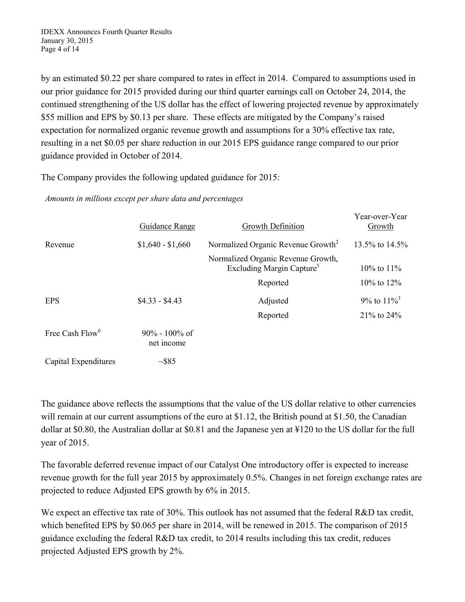by an estimated \$0.22 per share compared to rates in effect in 2014. Compared to assumptions used in our prior guidance for 2015 provided during our third quarter earnings call on October 24, 2014, the continued strengthening of the US dollar has the effect of lowering projected revenue by approximately \$55 million and EPS by \$0.13 per share. These effects are mitigated by the Company's raised expectation for normalized organic revenue growth and assumptions for a 30% effective tax rate, resulting in a net \$0.05 per share reduction in our 2015 EPS guidance range compared to our prior guidance provided in October of 2014.

The Company provides the following updated guidance for 2015:

*Amounts in millions except per share data and percentages*

|                             | Guidance Range                  | Growth Definition                                                           | Year-over-Year<br>Growth  |
|-----------------------------|---------------------------------|-----------------------------------------------------------------------------|---------------------------|
| Revenue                     | $$1,640 - $1,660$               | Normalized Organic Revenue Growth <sup>2</sup>                              | 13.5% to 14.5%            |
|                             |                                 | Normalized Organic Revenue Growth,<br>Excluding Margin Capture <sup>5</sup> | $10\%$ to $11\%$          |
|                             |                                 | Reported                                                                    | $10\%$ to $12\%$          |
| <b>EPS</b>                  | $$4.33 - $4.43$                 | Adjusted                                                                    | 9% to $11\%$ <sup>3</sup> |
|                             |                                 | Reported                                                                    | 21% to 24%                |
| Free Cash Flow <sup>6</sup> | $90\% - 100\%$ of<br>net income |                                                                             |                           |
| Capital Expenditures        | $\sim$ \$85                     |                                                                             |                           |

The guidance above reflects the assumptions that the value of the US dollar relative to other currencies will remain at our current assumptions of the euro at \$1.12, the British pound at \$1.50, the Canadian dollar at \$0.80, the Australian dollar at \$0.81 and the Japanese yen at ¥120 to the US dollar for the full year of 2015.

The favorable deferred revenue impact of our Catalyst One introductory offer is expected to increase revenue growth for the full year 2015 by approximately 0.5%. Changes in net foreign exchange rates are projected to reduce Adjusted EPS growth by 6% in 2015.

We expect an effective tax rate of 30%. This outlook has not assumed that the federal R&D tax credit, which benefited EPS by \$0.065 per share in 2014, will be renewed in 2015. The comparison of 2015 guidance excluding the federal R&D tax credit, to 2014 results including this tax credit, reduces projected Adjusted EPS growth by 2%.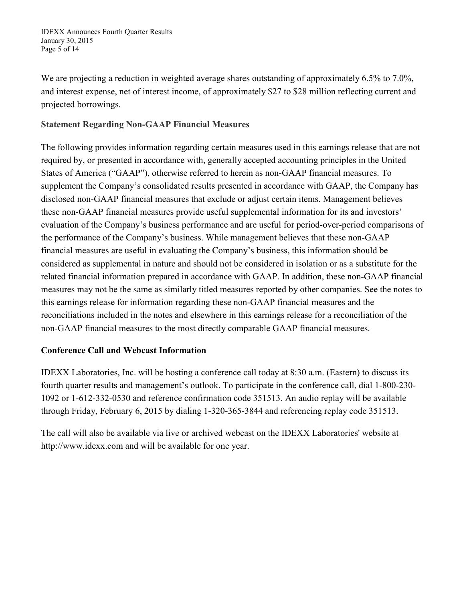We are projecting a reduction in weighted average shares outstanding of approximately 6.5% to 7.0%, and interest expense, net of interest income, of approximately \$27 to \$28 million reflecting current and projected borrowings.

# **Statement Regarding Non-GAAP Financial Measures**

The following provides information regarding certain measures used in this earnings release that are not required by, or presented in accordance with, generally accepted accounting principles in the United States of America ("GAAP"), otherwise referred to herein as non-GAAP financial measures. To supplement the Company's consolidated results presented in accordance with GAAP, the Company has disclosed non-GAAP financial measures that exclude or adjust certain items. Management believes these non-GAAP financial measures provide useful supplemental information for its and investors' evaluation of the Company's business performance and are useful for period-over-period comparisons of the performance of the Company's business. While management believes that these non-GAAP financial measures are useful in evaluating the Company's business, this information should be considered as supplemental in nature and should not be considered in isolation or as a substitute for the related financial information prepared in accordance with GAAP. In addition, these non-GAAP financial measures may not be the same as similarly titled measures reported by other companies. See the notes to this earnings release for information regarding these non-GAAP financial measures and the reconciliations included in the notes and elsewhere in this earnings release for a reconciliation of the non-GAAP financial measures to the most directly comparable GAAP financial measures.

# **Conference Call and Webcast Information**

IDEXX Laboratories, Inc. will be hosting a conference call today at 8:30 a.m. (Eastern) to discuss its fourth quarter results and management's outlook. To participate in the conference call, dial 1-800-230- 1092 or 1-612-332-0530 and reference confirmation code 351513. An audio replay will be available through Friday, February 6, 2015 by dialing 1-320-365-3844 and referencing replay code 351513.

The call will also be available via live or archived webcast on the IDEXX Laboratories' website at http://www.idexx.com and will be available for one year.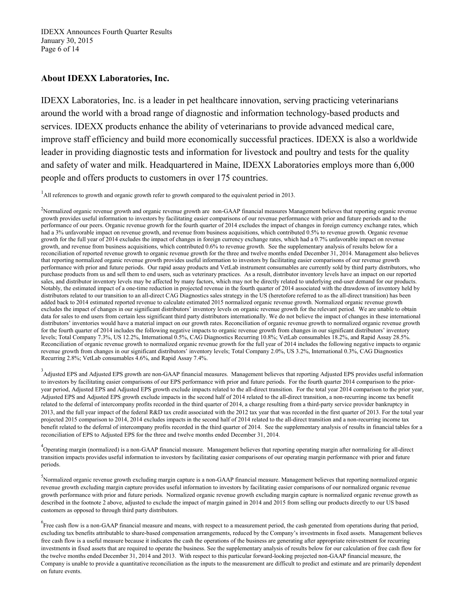IDEXX Announces Fourth Quarter Results January 30, 2015 Page 6 of 14

### **About IDEXX Laboratories, Inc.**

IDEXX Laboratories, Inc. is a leader in pet healthcare innovation, serving practicing veterinarians around the world with a broad range of diagnostic and information technology-based products and services. IDEXX products enhance the ability of veterinarians to provide advanced medical care, improve staff efficiency and build more economically successful practices. IDEXX is also a worldwide leader in providing diagnostic tests and information for livestock and poultry and tests for the quality and safety of water and milk. Headquartered in Maine, IDEXX Laboratories employs more than 6,000 people and offers products to customers in over 175 countries.

<sup>1</sup>All references to growth and organic growth refer to growth compared to the equivalent period in 2013.

<sup>2</sup>Normalized organic revenue growth and organic revenue growth are non-GAAP financial measures Management believes that reporting organic revenue growth provides useful information to investors by facilitating easier comparisons of our revenue performance with prior and future periods and to the performance of our peers. Organic revenue growth for the fourth quarter of 2014 excludes the impact of changes in foreign currency exchange rates, which had a 3% unfavorable impact on revenue growth, and revenue from business acquisitions, which contributed 0.5% to revenue growth. Organic revenue growth for the full year of 2014 excludes the impact of changes in foreign currency exchange rates, which had a 0.7% unfavorable impact on revenue growth, and revenue from business acquisitions, which contributed 0.6% to revenue growth. See the supplementary analysis of results below for a reconciliation of reported revenue growth to organic revenue growth for the three and twelve months ended December 31, 2014. Management also believes that reporting normalized organic revenue growth provides useful information to investors by facilitating easier comparisons of our revenue growth performance with prior and future periods. Our rapid assay products and VetLab instrument consumables are currently sold by third party distributors, who purchase products from us and sell them to end users, such as veterinary practices. As a result, distributor inventory levels have an impact on our reported sales, and distributor inventory levels may be affected by many factors, which may not be directly related to underlying end-user demand for our products. Notably, the estimated impact of a one-time reduction in projected revenue in the fourth quarter of 2014 associated with the drawdown of inventory held by distributors related to our transition to an all-direct CAG Diagnostics sales strategy in the US (heretofore referred to as the all-direct transition) has been added back to 2014 estimated reported revenue to calculate estimated 2015 normalized organic revenue growth. Normalized organic revenue growth excludes the impact of changes in our significant distributors' inventory levels on organic revenue growth for the relevant period. We are unable to obtain data for sales to end users from certain less significant third party distributors internationally. We do not believe the impact of changes in these international distributors' inventories would have a material impact on our growth rates. Reconciliation of organic revenue growth to normalized organic revenue growth for the fourth quarter of 2014 includes the following negative impacts to organic revenue growth from changes in our significant distributors' inventory levels; Total Company 7.3%, US 12.2%, International 0.5%, CAG Diagnostics Recurring 10.8%; VetLab consumables 18.2%, and Rapid Assay 28.5%. Reconciliation of organic revenue growth to normalized organic revenue growth for the full year of 2014 includes the following negative impacts to organic revenue growth from changes in our significant distributors' inventory levels; Total Company 2.0%, US 3.2%, International 0.3%, CAG Diagnostics Recurring 2.8%; VetLab consumables 4.6%, and Rapid Assay 7.4%.

<sup>3</sup> Adjusted EPS and Adjusted EPS growth are non-GAAP financial measures. Management believes that reporting Adjusted EPS provides useful information to investors by facilitating easier comparisons of our EPS performance with prior and future periods. For the fourth quarter 2014 comparison to the prioryear period, Adjusted EPS and Adjusted EPS growth exclude impacts related to the all-direct transition. For the total year 2014 comparison to the prior year, Adjusted EPS and Adjusted EPS growth exclude impacts in the second half of 2014 related to the all-direct transition, a non-recurring income tax benefit related to the deferral of intercompany profits recorded in the third quarter of 2014, a charge resulting from a third-party service provider bankruptcy in 2013, and the full year impact of the federal R&D tax credit associated with the 2012 tax year that was recorded in the first quarter of 2013. For the total year projected 2015 comparison to 2014, 2014 excludes impacts in the second half of 2014 related to the all-direct transition and a non-recurring income tax benefit related to the deferral of intercompany profits recorded in the third quarter of 2014. See the supplementary analysis of results in financial tables for a reconciliation of EPS to Adjusted EPS for the three and twelve months ended December 31, 2014.

 $^{4}$ Operating margin (normalized) is a non-GAAP financial measure. Management believes that reporting operating margin after normalizing for all-direct transition impacts provides useful information to investors by facilitating easier comparisons of our operating margin performance with prior and future periods.

<sup>5</sup><br>Normalized organic revenue growth excluding margin capture is a non-GAAP financial measure. Management believes that reporting normalized organic revenue growth excluding margin capture provides useful information to investors by facilitating easier comparisons of our normalized organic revenue growth performance with prior and future periods. Normalized organic revenue growth excluding margin capture is normalized organic revenue growth as described in the footnote 2 above, adjusted to exclude the impact of margin gained in 2014 and 2015 from selling our products directly to our US based customers as opposed to through third party distributors.

<sup>6</sup> Free cash flow is a non-GAAP financial measure and means, with respect to a measurement period, the cash generated from operations during that period, excluding tax benefits attributable to share-based compensation arrangements, reduced by the Company's investments in fixed assets. Management believes free cash flow is a useful measure because it indicates the cash the operations of the business are generating after appropriate reinvestment for recurring investments in fixed assets that are required to operate the business. See the supplementary analysis of results below for our calculation of free cash flow for the twelve months ended December 31, 2014 and 2013. With respect to this particular forward-looking projected non-GAAP financial measure, the Company is unable to provide a quantitative reconciliation as the inputs to the measurement are difficult to predict and estimate and are primarily dependent on future events.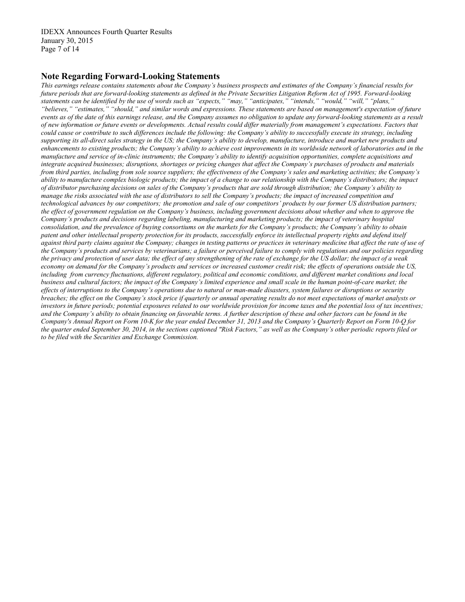IDEXX Announces Fourth Quarter Results January 30, 2015 Page 7 of 14

#### **Note Regarding Forward-Looking Statements**

*This earnings release contains statements about the Company's business prospects and estimates of the Company's financial results for future periods that are forward-looking statements as defined in the Private Securities Litigation Reform Act of 1995. Forward-looking statements can be identified by the use of words such as "expects," "may," "anticipates," "intends," "would," "will," "plans," "believes," "estimates," "should," and similar words and expressions. These statements are based on management's expectation of future events as of the date of this earnings release, and the Company assumes no obligation to update any forward-looking statements as a result of new information or future events or developments. Actual results could differ materially from management's expectations. Factors that could cause or contribute to such differences include the following: the Company's ability to successfully execute its strategy, including supporting its all-direct sales strategy in the US; the Company's ability to develop, manufacture, introduce and market new products and enhancements to existing products; the Company's ability to achieve cost improvements in its worldwide network of laboratories and in the manufacture and service of in-clinic instruments; the Company's ability to identify acquisition opportunities, complete acquisitions and integrate acquired businesses; disruptions, shortages or pricing changes that affect the Company's purchases of products and materials from third parties, including from sole source suppliers; the effectiveness of the Company's sales and marketing activities; the Company's ability to manufacture complex biologic products; the impact of a change to our relationship with the Company's distributors; the impact of distributor purchasing decisions on sales of the Company's products that are sold through distribution; the Company's ability to manage the risks associated with the use of distributors to sell the Company's products; the impact of increased competition and technological advances by our competitors; the promotion and sale of our competitors' products by our former US distribution partners; the effect of government regulation on the Company's business, including government decisions about whether and when to approve the Company's products and decisions regarding labeling, manufacturing and marketing products; the impact of veterinary hospital consolidation, and the prevalence of buying consortiums on the markets for the Company's products; the Company's ability to obtain patent and other intellectual property protection for its products, successfully enforce its intellectual property rights and defend itself against third party claims against the Company; changes in testing patterns or practices in veterinary medicine that affect the rate of use of the Company's products and services by veterinarians; a failure or perceived failure to comply with regulations and our policies regarding the privacy and protection of user data; the effect of any strengthening of the rate of exchange for the US dollar; the impact of a weak economy on demand for the Company's products and services or increased customer credit risk; the effects of operations outside the US, including from currency fluctuations, different regulatory, political and economic conditions, and different market conditions and local business and cultural factors; the impact of the Company's limited experience and small scale in the human point-of-care market; the effects of interruptions to the Company's operations due to natural or man-made disasters, system failures or disruptions or security breaches; the effect on the Company's stock price if quarterly or annual operating results do not meet expectations of market analysts or investors in future periods; potential exposures related to our worldwide provision for income taxes and the potential loss of tax incentives;* and the Company's ability to obtain financing on favorable terms. A further description of these and other factors can be found in the *Company's Annual Report on Form 10-K for the year ended December 31, 2013 and the Company's Quarterly Report on Form 10-Q for the quarter ended September 30, 2014, in the sections captioned "Risk Factors," as well as the Company's other periodic reports filed or to be filed with the Securities and Exchange Commission.*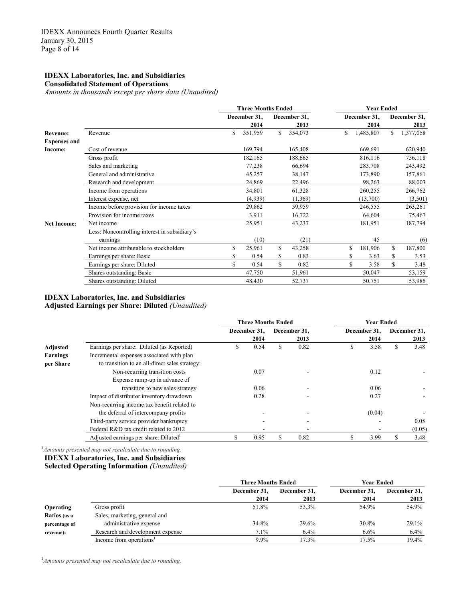#### **IDEXX Laboratories, Inc. and Subsidiaries Consolidated Statement of Operations**

*Amounts in thousands except per share data (Unaudited)*

|                     | <b>Three Months Ended</b>                     |    |              |    |              |    | <b>Year Ended</b> |     |              |  |
|---------------------|-----------------------------------------------|----|--------------|----|--------------|----|-------------------|-----|--------------|--|
|                     |                                               |    | December 31, |    | December 31, |    | December 31,      |     | December 31, |  |
|                     |                                               |    | 2014         |    | 2013         |    | 2014              |     | 2013         |  |
| Revenue:            | Revenue                                       | \$ | 351,959      | S. | 354,073      | \$ | 1,485,807         | \$. | 1,377,058    |  |
| <b>Expenses and</b> |                                               |    |              |    |              |    |                   |     |              |  |
| Income:             | Cost of revenue                               |    | 169,794      |    | 165,408      |    | 669,691           |     | 620,940      |  |
|                     | Gross profit                                  |    | 182,165      |    | 188,665      |    | 816,116           |     | 756,118      |  |
|                     | Sales and marketing                           |    | 77,238       |    | 66,694       |    | 283,708           |     | 243,492      |  |
|                     | General and administrative                    |    | 45,257       |    | 38,147       |    | 173,890           |     | 157,861      |  |
|                     | Research and development                      |    | 24,869       |    | 22,496       |    | 98,263            |     | 88,003       |  |
|                     | Income from operations                        |    | 34,801       |    | 61,328       |    | 260,255           |     | 266,762      |  |
|                     | Interest expense, net                         |    | (4,939)      |    | (1,369)      |    | (13,700)          |     | (3,501)      |  |
|                     | Income before provision for income taxes      |    | 29,862       |    | 59,959       |    | 246,555           |     | 263,261      |  |
|                     | Provision for income taxes                    |    | 3,911        |    | 16,722       |    | 64,604            |     | 75,467       |  |
| <b>Net Income:</b>  | Net income                                    |    | 25,951       |    | 43,237       |    | 181,951           |     | 187,794      |  |
|                     | Less: Noncontrolling interest in subsidiary's |    |              |    |              |    |                   |     |              |  |
|                     | earnings                                      |    | (10)         |    | (21)         |    | 45                |     | (6)          |  |
|                     | Net income attributable to stockholders       | \$ | 25,961       | \$ | 43,258       | S  | 181,906           | \$  | 187,800      |  |
|                     | Earnings per share: Basic                     |    | 0.54         | \$ | 0.83         | \$ | 3.63              | \$  | 3.53         |  |
|                     | Earnings per share: Diluted                   |    | 0.54         | \$ | 0.82         | S  | 3.58              | \$  | 3.48         |  |
|                     | Shares outstanding: Basic                     |    | 47,750       |    | 51,961       |    | 50,047            |     | 53,159       |  |
|                     | Shares outstanding: Diluted                   |    | 48,430       |    | 52,737       |    | 50,751            |     | 53,985       |  |

#### **IDEXX Laboratories, Inc. and Subsidiaries Adjusted Earnings per Share: Diluted** *(Unaudited)*

|                 |                                                | <b>Three Months Ended</b> |              |    |              | <b>Year Ended</b> |              |              |        |
|-----------------|------------------------------------------------|---------------------------|--------------|----|--------------|-------------------|--------------|--------------|--------|
|                 |                                                |                           | December 31. |    | December 31, |                   | December 31. | December 31, |        |
|                 |                                                |                           | 2014         |    | 2013         |                   | 2014         |              | 2013   |
| Adjusted        | Earnings per share: Diluted (as Reported)      | \$                        | 0.54         | \$ | 0.82         | \$                | 3.58         | \$           | 3.48   |
| <b>Earnings</b> | Incremental expenses associated with plan      |                           |              |    |              |                   |              |              |        |
| per Share       | to transition to an all-direct sales strategy: |                           |              |    |              |                   |              |              |        |
|                 | Non-recurring transition costs                 |                           | 0.07         |    |              |                   | 0.12         |              |        |
|                 | Expense ramp-up in advance of                  |                           |              |    |              |                   |              |              |        |
|                 | transition to new sales strategy               |                           | 0.06         |    | ۰            |                   | 0.06         |              |        |
|                 | Impact of distributor inventory drawdown       |                           | 0.28         |    |              |                   | 0.27         |              |        |
|                 | Non-recurring income tax benefit related to    |                           |              |    |              |                   |              |              |        |
|                 | the deferral of intercompany profits           |                           |              |    |              |                   | (0.04)       |              |        |
|                 | Third-party service provider bankruptcy        |                           |              |    |              |                   |              |              | 0.05   |
|                 | Federal R&D tax credit related to 2012         |                           |              |    |              |                   |              |              | (0.05) |
|                 | Adjusted earnings per share: Diluted           | \$                        | 0.95         | S  | 0.82         |                   | 3.99         |              | 3.48   |

1 *Amounts presented may not recalculate due to rounding.*  **IDEXX Laboratories, Inc. and Subsidiaries Selected Operating Information** *(Unaudited)*

|                  |                                     | <b>Three Months Ended</b> |              | Year Ended   |              |  |  |
|------------------|-------------------------------------|---------------------------|--------------|--------------|--------------|--|--|
|                  |                                     | December 31,              | December 31, | December 31. | December 31, |  |  |
|                  |                                     | 2014                      | 2013         | 2014         | 2013         |  |  |
| <b>Operating</b> | Gross profit                        | 51.8%                     | 53.3%        | 54.9%        | 54.9%        |  |  |
| Ratios (as a     | Sales, marketing, general and       |                           |              |              |              |  |  |
| percentage of    | administrative expense              | 34.8%                     | 29.6%        | 30.8%        | 29.1%        |  |  |
| revenue):        | Research and development expense    | 7.1%                      | 6.4%         | 6.6%         | 6.4%         |  |  |
|                  | Income from operations <sup>1</sup> | 9.9%                      | 17.3%        | 17.5%        | 19.4%        |  |  |

1 *Amounts presented may not recalculate due to rounding.*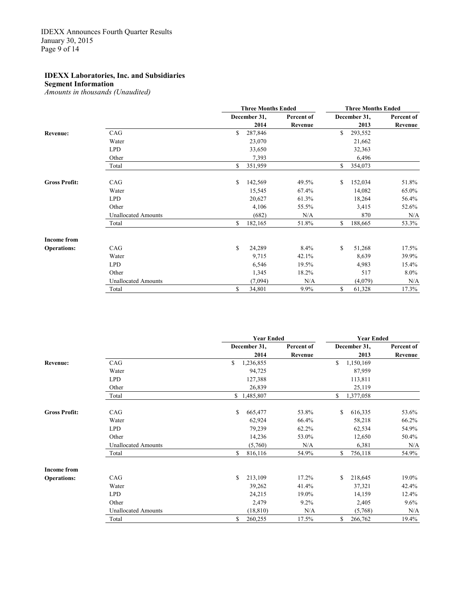**Segment Information**

|                      |                            |             | <b>Three Months Ended</b> |            | <b>Three Months Ended</b> |              |            |  |
|----------------------|----------------------------|-------------|---------------------------|------------|---------------------------|--------------|------------|--|
|                      |                            |             | December 31,              | Percent of |                           | December 31, | Percent of |  |
|                      |                            |             | 2014                      | Revenue    |                           | 2013         | Revenue    |  |
| <b>Revenue:</b>      | CAG                        | \$          | 287,846                   |            | \$                        | 293,552      |            |  |
|                      | Water                      |             | 23,070                    |            |                           | 21,662       |            |  |
|                      | <b>LPD</b>                 |             | 33,650                    |            |                           | 32,363       |            |  |
|                      | Other                      |             | 7,393                     |            |                           | 6,496        |            |  |
|                      | Total                      | \$          | 351,959                   |            | \$                        | 354,073      |            |  |
| <b>Gross Profit:</b> | CAG                        | \$          | 142,569                   | 49.5%      | \$                        | 152,034      | 51.8%      |  |
|                      | Water                      |             | 15,545                    | 67.4%      |                           | 14,082       | 65.0%      |  |
|                      | <b>LPD</b>                 |             | 20,627                    | 61.3%      |                           | 18,264       | 56.4%      |  |
|                      | Other                      |             | 4,106                     | 55.5%      |                           | 3,415        | 52.6%      |  |
|                      | <b>Unallocated Amounts</b> |             | (682)                     | N/A        |                           | 870          | N/A        |  |
|                      | Total                      | \$          | 182,165                   | 51.8%      | \$                        | 188,665      | 53.3%      |  |
| <b>Income from</b>   |                            |             |                           |            |                           |              |            |  |
| <b>Operations:</b>   | CAG                        | $\mathbf S$ | 24,289                    | 8.4%       | \$                        | 51,268       | 17.5%      |  |
|                      | Water                      |             | 9,715                     | 42.1%      |                           | 8,639        | 39.9%      |  |
|                      | <b>LPD</b>                 |             | 6,546                     | 19.5%      |                           | 4,983        | 15.4%      |  |
|                      | Other                      |             | 1,345                     | 18.2%      |                           | 517          | $8.0\%$    |  |
|                      | <b>Unallocated Amounts</b> |             | (7,094)                   | N/A        |                           | (4,079)      | N/A        |  |
|                      | Total                      | \$          | 34,801                    | 9.9%       | \$                        | 61,328       | 17.3%      |  |

|                      |                            | <b>Year Ended</b> |            | <b>Year Ended</b> |            |  |  |
|----------------------|----------------------------|-------------------|------------|-------------------|------------|--|--|
|                      |                            | December 31,      | Percent of | December 31,      | Percent of |  |  |
|                      |                            | 2014              | Revenue    | 2013              | Revenue    |  |  |
| <b>Revenue:</b>      | CAG                        | \$<br>1,236,855   |            | \$<br>1,150,169   |            |  |  |
|                      | Water                      | 94,725            |            | 87,959            |            |  |  |
|                      | <b>LPD</b>                 | 127,388           |            | 113,811           |            |  |  |
|                      | Other                      | 26,839            |            | 25,119            |            |  |  |
|                      | Total                      | \$1,485,807       |            | \$<br>1,377,058   |            |  |  |
| <b>Gross Profit:</b> | CAG                        | \$<br>665,477     | 53.8%      | \$<br>616,335     | 53.6%      |  |  |
|                      | Water                      | 62,924            | 66.4%      | 58,218            | 66.2%      |  |  |
|                      | <b>LPD</b>                 | 79,239            | 62.2%      | 62,534            | 54.9%      |  |  |
|                      | Other                      | 14,236            | 53.0%      | 12,650            | 50.4%      |  |  |
|                      | <b>Unallocated Amounts</b> | (5,760)           | N/A        | 6,381             | N/A        |  |  |
|                      | Total                      | \$<br>816,116     | 54.9%      | \$<br>756,118     | 54.9%      |  |  |
| <b>Income from</b>   |                            |                   |            |                   |            |  |  |
| <b>Operations:</b>   | CAG                        | S<br>213,109      | 17.2%      | \$<br>218,645     | 19.0%      |  |  |
|                      | Water                      | 39,262            | 41.4%      | 37,321            | 42.4%      |  |  |
|                      | <b>LPD</b>                 | 24,215            | 19.0%      | 14,159            | 12.4%      |  |  |
|                      | Other                      | 2,479             | 9.2%       | 2,405             | 9.6%       |  |  |
|                      | <b>Unallocated Amounts</b> | (18, 810)         | N/A        | (5,768)           | N/A        |  |  |
|                      | Total                      | \$<br>260,255     | 17.5%      | \$<br>266,762     | 19.4%      |  |  |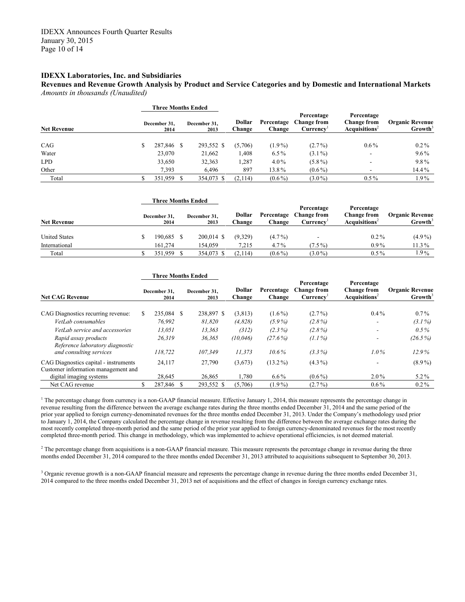**Revenues and Revenue Growth Analysis by Product and Service Categories and by Domestic and International Markets** *Amounts in thousands (Unaudited)*

|                    |                      | <b>Three Months Ended</b> |                      |                  |                      |                                              |                                                                 |                                               |
|--------------------|----------------------|---------------------------|----------------------|------------------|----------------------|----------------------------------------------|-----------------------------------------------------------------|-----------------------------------------------|
| <b>Net Revenue</b> | December 31,<br>2014 |                           | December 31,<br>2013 | Dollar<br>Change | Percentage<br>Change | Percentage<br><b>Change from</b><br>Currency | Percentage<br><b>Change from</b><br>Acau is itions <sup>2</sup> | <b>Organic Revenue</b><br>Growth <sup>3</sup> |
| CAG                |                      | 287,846 \$                | 293,552 \$           | (5,706)          | $(1.9\%)$            | $(2.7\%)$                                    | $0.6\%$                                                         | $0.2\%$                                       |
| Water              |                      | 23,070                    | 21,662               | 1,408            | $6.5\%$              | $(3.1\%)$                                    | $\overline{\phantom{a}}$                                        | $9.6\%$                                       |
| <b>LPD</b>         |                      | 33,650                    | 32,363               | 1,287            | $4.0\%$              | $(5.8\%)$                                    | $\overline{\phantom{a}}$                                        | 9.8%                                          |
| Other              |                      | 7,393                     | 6.496                | 897              | 13.8%                | $(0.6\%)$                                    |                                                                 | $14.4\%$                                      |
| Total              |                      | 351,959                   | 354,073 \$           | (2,114)          | $(0.6\%)$            | $(3.0\%)$                                    | $0.5\%$                                                         | 1.9%                                          |

|                      | <b>Three Months Ended</b> |                      |                  |                      |                                              |                                                               |                                               |  |
|----------------------|---------------------------|----------------------|------------------|----------------------|----------------------------------------------|---------------------------------------------------------------|-----------------------------------------------|--|
| <b>Net Revenue</b>   | December 31,<br>2014      | December 31,<br>2013 | Dollar<br>∑hange | Percentage<br>Change | Percentage<br><b>Change from</b><br>Currencv | Percentage<br><b>Change from</b><br>Acquisitions <sup>2</sup> | <b>Organic Revenue</b><br>Growth <sup>3</sup> |  |
| <b>United States</b> | 190,685 \$                | $200.014$ \$         | (9,329)          | $(4.7\%)$            | -                                            | $0.2\%$                                                       | $(4.9\%)$                                     |  |
| International        | 161.274                   | 154.059              | 7.215            | $4.7\%$              | $(7.5\%)$                                    | $0.9\%$                                                       | 11.3%                                         |  |
| Total                | 351.959                   | 354,073 \$           | (2,114)          | $(0.6\%)$            | $(3.0\%)$                                    | $0.5\%$                                                       | $1.9\%$                                       |  |

|                                                                              |  | <b>Three Months Ended</b> |  |                      |                  |                      |                                               |                                                               |                                               |
|------------------------------------------------------------------------------|--|---------------------------|--|----------------------|------------------|----------------------|-----------------------------------------------|---------------------------------------------------------------|-----------------------------------------------|
| <b>Net CAG Revenue</b>                                                       |  | December 31.<br>2014      |  | December 31.<br>2013 | Dollar<br>Change | Percentage<br>Change | Percentage<br><b>Change from</b><br>Currency' | Percentage<br><b>Change from</b><br>Acquisitions <sup>2</sup> | <b>Organic Revenue</b><br>Growth <sup>3</sup> |
| CAG Diagnostics recurring revenue:                                           |  | 235,084 \$                |  | 238,897 \$           | (3,813)          | $(1.6\%)$            | $(2.7\%)$                                     | $0.4\%$                                                       | $0.7\%$                                       |
| VetLab consumables                                                           |  | 76.992                    |  | 81.820               | (4,828)          | $(5.9\%)$            | $(2.8\%)$                                     | ۰                                                             | $(3.1\%)$                                     |
| VetLab service and accessories                                               |  | 13.051                    |  | 13,363               | (312)            | $(2.3\%)$            | $(2.8\%)$                                     | ۰.                                                            | $0.5\%$                                       |
| Rapid assay products<br>Reference laboratory diagnostic                      |  | 26.319                    |  | 36,365               | (10, 046)        | $(27.6\%)$           | $(1.1\%)$                                     |                                                               | $(26.5\%)$                                    |
| and consulting services                                                      |  | 118.722                   |  | 107.349              | 11.373           | $10.6\%$             | $(3.3\%)$                                     | $1.0\%$                                                       | 12.9%                                         |
| CAG Diagnostics capital - instruments<br>Customer information management and |  | 24,117                    |  | 27,790               | (3,673)          | $(13.2\%)$           | $(4.3\%)$                                     |                                                               | $(8.9\%)$                                     |
| digital imaging systems                                                      |  | 28,645                    |  | 26,865               | 1,780            | $6.6\%$              | $(0.6\%)$                                     | $2.0\%$                                                       | $5.2\%$                                       |
| Net CAG revenue                                                              |  | 287,846 \$                |  | 293,552 \$           | (5,706)          | $(1.9\%)$            | $(2.7\%)$                                     | $0.6\%$                                                       | $0.2\%$                                       |

<sup>1</sup> The percentage change from currency is a non-GAAP financial measure. Effective January 1, 2014, this measure represents the percentage change in revenue resulting from the difference between the average exchange rates during the three months ended December 31, 2014 and the same period of the prior year applied to foreign currency-denominated revenues for the three months ended December 31, 2013. Under the Company's methodology used prior to January 1, 2014, the Company calculated the percentage change in revenue resulting from the difference between the average exchange rates during the most recently completed three-month period and the same period of the prior year applied to foreign currency-denominated revenues for the most recently completed three-month period. This change in methodology, which was implemented to achieve operational efficiencies, is not deemed material.

 $2$  The percentage change from acquisitions is a non-GAAP financial measure. This measure represents the percentage change in revenue during the three months ended December 31, 2014 compared to the three months ended December 31, 2013 attributed to acquisitions subsequent to September 30, 2013.

<sup>3</sup> Organic revenue growth is a non-GAAP financial measure and represents the percentage change in revenue during the three months ended December 31, 2014 compared to the three months ended December 31, 2013 net of acquisitions and the effect of changes in foreign currency exchange rates.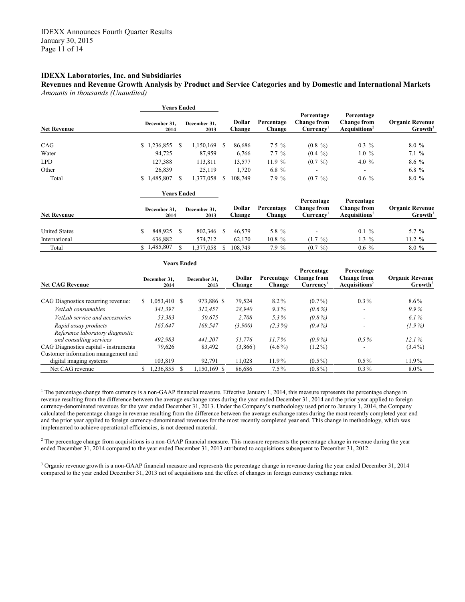**Revenues and Revenue Growth Analysis by Product and Service Categories and by Domestic and International Markets** *Amounts in thousands (Unaudited)*

|                    |                      | <b>Years Ended</b> |                      |  |                  |                      |                                                     |                                                               |                                               |  |
|--------------------|----------------------|--------------------|----------------------|--|------------------|----------------------|-----------------------------------------------------|---------------------------------------------------------------|-----------------------------------------------|--|
| <b>Net Revenue</b> | December 31.<br>2014 |                    | December 31.<br>2013 |  | Dollar<br>Change | Percentage<br>Change | Percentage<br><b>Change from</b><br><b>Currency</b> | Percentage<br><b>Change from</b><br>Acquisitions <sup>2</sup> | <b>Organic Revenue</b><br>Growth <sup>3</sup> |  |
| CAG                | 236,855              | S                  | 1,150,169            |  | 86,686           | $7.5 \%$             | $(0.8\%)$                                           | $0.3\%$                                                       | $8.0\%$                                       |  |
| Water              | 94,725               |                    | 87,959               |  | 6,766            | $7.7\%$              | $(0.4 \%)$                                          | $1.0 \%$                                                      | $7.1\%$                                       |  |
| <b>LPD</b>         | 127,388              |                    | 113,811              |  | 13,577           | 11.9%                | $(0.7 \%)$                                          | 4.0 $%$                                                       | $8.6\%$                                       |  |
| Other              | 26,839               |                    | 25,119               |  | 1,720            | 6.8 $%$              |                                                     |                                                               | 6.8 $%$                                       |  |
| Total              | \$1,485,807          |                    | 1,377,058            |  | 108,749          | 7.9%                 | $(0.7 \%)$                                          | $0.6 \%$                                                      | 8.0%                                          |  |

|                        | Years Ended |                      |  |                      |                         |                      |                                       |                                                          |                                               |
|------------------------|-------------|----------------------|--|----------------------|-------------------------|----------------------|---------------------------------------|----------------------------------------------------------|-----------------------------------------------|
| <b>Net Revenue</b>     |             | December 31.<br>2014 |  | December 31.<br>2013 | Dollar<br><b>Change</b> | Percentage<br>Change | Percentage<br>Change from<br>Currencv | Percentage<br>Change from<br>Acau is itions <sup>2</sup> | <b>Organic Revenue</b><br>Growth <sup>3</sup> |
| <b>United States</b>   |             | 848.925              |  | 802,346              | 46.579                  | 5.8 %                |                                       | $0.1 \%$                                                 | 5.7 $%$                                       |
| International<br>Total | S.          | 636.882<br>.485,807  |  | 574.712<br>.377,058  | 62.170<br>108.749       | $10.8 \%$<br>7.9 %   | $(1.7 \%)$<br>$(0.7 \%)$              | $1.3\%$<br>$0.6\%$                                       | $11.2 \%$<br>$8.0\%$                          |

|                                                         | <b>Years Ended</b> |                      |  |                      |                         |                      |                                                           |                                                               |                                               |
|---------------------------------------------------------|--------------------|----------------------|--|----------------------|-------------------------|----------------------|-----------------------------------------------------------|---------------------------------------------------------------|-----------------------------------------------|
| <b>Net CAG Revenue</b>                                  |                    | December 31.<br>2014 |  | December 31.<br>2013 | <b>Dollar</b><br>Change | Percentage<br>Change | Percentage<br><b>Change from</b><br>Currence <sup>T</sup> | Percentage<br><b>Change from</b><br>Acquisitions <sup>2</sup> | <b>Organic Revenue</b><br>Growth <sup>3</sup> |
| CAG Diagnostics recurring revenue:                      | S.                 | $0.053,410$ \$       |  | 973,886 \$           | 79,524                  | 8.2%                 | $(0.7\%)$                                                 | $0.3\%$                                                       | $8.6\%$                                       |
| VetLab consumables                                      |                    | 341.397              |  | 312.457              | 28.940                  | $9.3\%$              | $(0.6\%)$                                                 | ۰                                                             | $9.9\%$                                       |
| VetLab service and accessories                          |                    | 53.383               |  | 50.675               | 2.708                   | 5.3%                 | $(0.8\%)$                                                 | $\overline{\phantom{m}}$                                      | $6.1\%$                                       |
| Rapid assay products<br>Reference laboratory diagnostic |                    | 165,647              |  | 169.547              | (3,900)                 | $(2.3\%)$            | $(0.4\%)$                                                 | ۰                                                             | $(1.9\%)$                                     |
| and consulting services                                 |                    | 492.983              |  | 441.207              | 51.776                  | $11.7\%$             | $(0.9\%)$                                                 | $0.5\%$                                                       | 12.1%                                         |
| CAG Diagnostics capital - instruments                   |                    | 79,626               |  | 83,492               | (3,866)                 | $(4.6\%)$            | $(1.2\%)$                                                 | ۰                                                             | $(3.4\%)$                                     |
| Customer information management and                     |                    |                      |  |                      |                         |                      |                                                           |                                                               |                                               |
| digital imaging systems                                 |                    | 103.819              |  | 92,791               | 11,028                  | 11.9%                | $(0.5\%)$                                                 | $0.5\%$                                                       | 11.9%                                         |
| Net CAG revenue                                         |                    | 1,236,855            |  | $.150,169$ \$        | 86.686                  | $7.5\%$              | $(0.8\%)$                                                 | $0.3\%$                                                       | $8.0\%$                                       |

<sup>1</sup> The percentage change from currency is a non-GAAP financial measure. Effective January 1, 2014, this measure represents the percentage change in revenue resulting from the difference between the average exchange rates during the year ended December 31, 2014 and the prior year applied to foreign currency-denominated revenues for the year ended December 31, 2013. Under the Company's methodology used prior to January 1, 2014, the Company calculated the percentage change in revenue resulting from the difference between the average exchange rates during the most recently completed year end and the prior year applied to foreign currency-denominated revenues for the most recently completed year end. This change in methodology, which was implemented to achieve operational efficiencies, is not deemed material.

 $2$  The percentage change from acquisitions is a non-GAAP financial measure. This measure represents the percentage change in revenue during the year ended December 31, 2014 compared to the year ended December 31, 2013 attributed to acquisitions subsequent to December 31, 2012.

<sup>3</sup> Organic revenue growth is a non-GAAP financial measure and represents the percentage change in revenue during the year ended December 31, 2014 compared to the year ended December 31, 2013 net of acquisitions and the effect of changes in foreign currency exchange rates.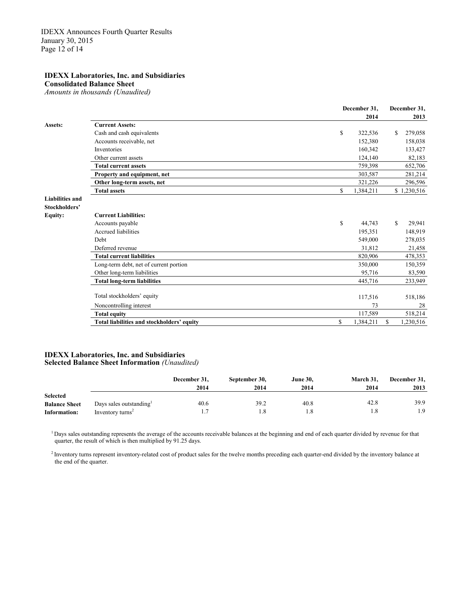**Consolidated Balance Sheet**

*Amounts in thousands (Unaudited)*

|                        |                                            | December 31,    | December 31, |             |  |
|------------------------|--------------------------------------------|-----------------|--------------|-------------|--|
|                        |                                            | 2014            |              | 2013        |  |
| Assets:                | <b>Current Assets:</b>                     |                 |              |             |  |
|                        | Cash and cash equivalents                  | \$<br>322,536   | S.           | 279,058     |  |
|                        | Accounts receivable, net                   | 152,380         |              | 158,038     |  |
|                        | Inventories                                | 160,342         |              | 133,427     |  |
|                        | Other current assets                       | 124,140         |              | 82,183      |  |
|                        | <b>Total current assets</b>                | 759,398         |              | 652,706     |  |
|                        | Property and equipment, net                | 303,587         |              | 281,214     |  |
|                        | Other long-term assets, net                | 321,226         |              | 296,596     |  |
|                        | <b>Total assets</b>                        | \$<br>1,384,211 |              | \$1,230,516 |  |
| <b>Liabilities and</b> |                                            |                 |              |             |  |
| Stockholders'          |                                            |                 |              |             |  |
| <b>Equity:</b>         | <b>Current Liabilities:</b>                |                 |              |             |  |
|                        | Accounts payable                           | \$<br>44,743    | S            | 29,941      |  |
|                        | Accrued liabilities                        | 195,351         |              | 148,919     |  |
|                        | Debt                                       | 549,000         |              | 278,035     |  |
|                        | Deferred revenue                           | 31,812          |              | 21,458      |  |
|                        | <b>Total current liabilities</b>           | 820,906         |              | 478,353     |  |
|                        | Long-term debt, net of current portion     | 350,000         |              | 150,359     |  |
|                        | Other long-term liabilities                | 95,716          |              | 83,590      |  |
|                        | <b>Total long-term liabilities</b>         | 445,716         |              | 233,949     |  |
|                        | Total stockholders' equity                 | 117,516         |              | 518,186     |  |
|                        | Noncontrolling interest                    | 73              |              | 28          |  |
|                        | <b>Total equity</b>                        | 117,589         |              | 518,214     |  |
|                        | Total liabilities and stockholders' equity | \$<br>1,384,211 | S.           | 1,230,516   |  |

#### **IDEXX Laboratories, Inc. and Subsidiaries Selected Balance Sheet Information** *(Unaudited)*

|                      |                              | December 31,<br>2014 | September 30,<br>2014 | <b>June 30,</b><br>2014 | March 31,<br>2014 | December 31,<br>2013 |
|----------------------|------------------------------|----------------------|-----------------------|-------------------------|-------------------|----------------------|
| <b>Selected</b>      |                              |                      |                       |                         |                   |                      |
| <b>Balance Sheet</b> | Days sales outstanding       | 40.6                 | 39.2                  | 40.8                    | 42.8              | 39.9                 |
| Information:         | Inventory turns <sup>2</sup> |                      |                       |                         |                   | 1.9                  |

<sup>1</sup> Days sales outstanding represents the average of the accounts receivable balances at the beginning and end of each quarter divided by revenue for that quarter, the result of which is then multiplied by 91.25 days.

<sup>2</sup> Inventory turns represent inventory-related cost of product sales for the twelve months preceding each quarter-end divided by the inventory balance at the end of the quarter.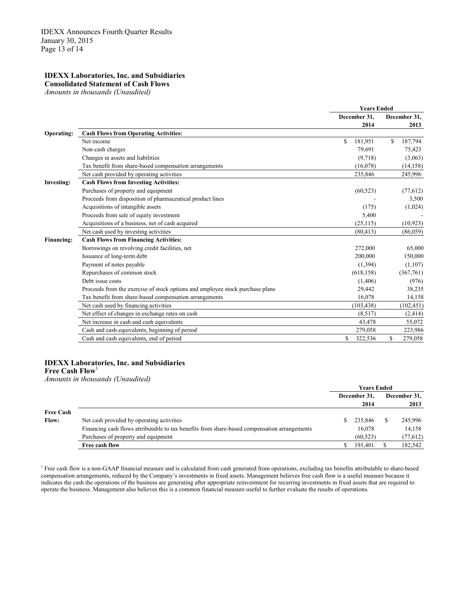#### **IDEXX Laboratories, Inc. and Subsidiaries Consolidated Statement of Cash Flows**

*Amounts in thousands (Unaudited)*

|                   |                                                                               | <b>Years Ended</b> |               |  |  |
|-------------------|-------------------------------------------------------------------------------|--------------------|---------------|--|--|
|                   |                                                                               | December 31,       | December 31,  |  |  |
|                   |                                                                               | 2014               | 2013          |  |  |
| Operating:        | <b>Cash Flows from Operating Activities:</b>                                  |                    |               |  |  |
|                   | Net income                                                                    | S<br>181,951       | 187,794<br>S  |  |  |
|                   | Non-cash charges                                                              | 79,691             | 75,423        |  |  |
|                   | Changes in assets and liabilities                                             | (9,718)            | (3,063)       |  |  |
|                   | Tax benefit from share-based compensation arrangements                        | (16,078)           | (14, 158)     |  |  |
|                   | Net cash provided by operating activities                                     | 235,846            | 245,996       |  |  |
| <b>Investing:</b> | <b>Cash Flows from Investing Activities:</b>                                  |                    |               |  |  |
|                   | Purchases of property and equipment                                           | (60, 523)          | (77,612)      |  |  |
|                   | Proceeds from disposition of pharmaceutical product lines                     |                    | 3,500         |  |  |
|                   | Acquisitions of intangible assets                                             | (175)              | (1,024)       |  |  |
|                   | Proceeds from sale of equity investment                                       | 5,400              |               |  |  |
|                   | Acquisitions of a business, net of cash acquired                              | (25, 115)          | (10, 923)     |  |  |
|                   | Net cash used by investing activities                                         | (80, 413)          | (86,059)      |  |  |
| <b>Financing:</b> | <b>Cash Flows from Financing Activities:</b>                                  |                    |               |  |  |
|                   | Borrowings on revolving credit facilities, net                                | 272,000            | 65,000        |  |  |
|                   | Issuance of long-term debt                                                    | 200,000            | 150,000       |  |  |
|                   | Payment of notes payable                                                      | (1,394)            | (1,107)       |  |  |
|                   | Repurchases of common stock                                                   | (618, 158)         | (367,761)     |  |  |
|                   | Debt issue costs                                                              | (1, 406)           | (976)         |  |  |
|                   | Proceeds from the exercise of stock options and employee stock purchase plans | 29,442             | 38,235        |  |  |
|                   | Tax benefit from share-based compensation arrangements                        | 16,078             | 14,158        |  |  |
|                   | Net cash used by financing activities                                         | (103.438)          | (102, 451)    |  |  |
|                   | Net effect of changes in exchange rates on cash                               | (8,517)            | (2, 414)      |  |  |
|                   | Net increase in cash and cash equivalents                                     | 43,478             | 55,072        |  |  |
|                   | Cash and cash equivalents, beginning of period                                | 279,058            | 223,986       |  |  |
|                   | Cash and cash equivalents, end of period                                      | S<br>322,536       | \$<br>279,058 |  |  |
|                   |                                                                               |                    |               |  |  |

#### **IDEXX Laboratories, Inc. and Subsidiaries Free Cash Flow**<sup>1</sup>

*Amounts in thousands (Unaudited)*

|                  |                                                                                              |  | December 31,<br>2014 |  | December 31,<br>2013 |
|------------------|----------------------------------------------------------------------------------------------|--|----------------------|--|----------------------|
| <b>Free Cash</b> |                                                                                              |  |                      |  |                      |
| <b>Flow:</b>     | Net cash provided by operating activities                                                    |  | 235,846              |  | 245,996              |
|                  | Financing cash flows attributable to tax benefits from share-based compensation arrangements |  | 16,078               |  | 14,158               |
|                  | Purchases of property and equipment                                                          |  | (60, 523)            |  | (77, 612)            |
|                  | Free cash flow                                                                               |  | 191,401              |  | 182,542              |

<sup>1</sup> Free cash flow is a non-GAAP financial measure and is calculated from cash generated from operations, excluding tax benefits attributable to share-based compensation arrangements, reduced by the Company's investments in fixed assets. Management believes free cash flow is a useful measure because it indicates the cash the operations of the business are generating after appropriate reinvestment for recurring investments in fixed assets that are required to operate the business. Management also believes this is a common financial measure useful to further evaluate the results of operations.